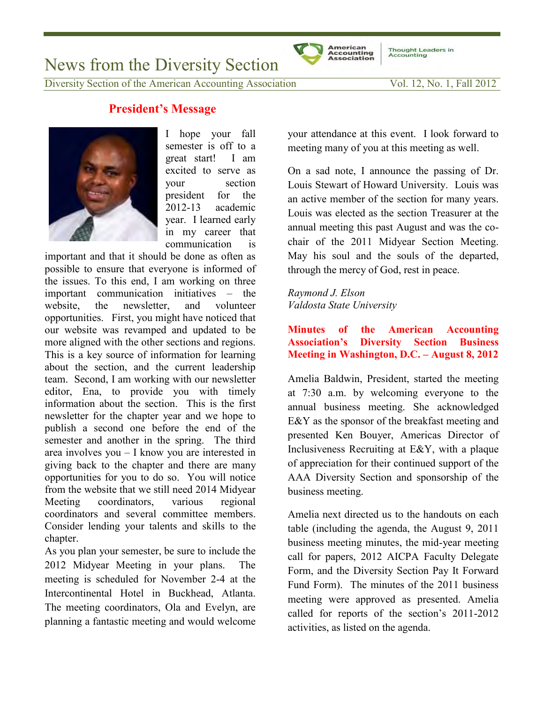News from the Diversity Section

# **President's Message**



I hope your fall semester is off to a great start! I am excited to serve as your section president for the 2012-13 academic year. I learned early in my career that communication is

important and that it should be done as often as possible to ensure that everyone is informed of the issues. To this end, I am working on three important communication initiatives – the website, the newsletter, and volunteer opportunities. First, you might have noticed that our website was revamped and updated to be more aligned with the other sections and regions. This is a key source of information for learning about the section, and the current leadership team. Second, I am working with our newsletter editor, Ena, to provide you with timely information about the section. This is the first newsletter for the chapter year and we hope to publish a second one before the end of the semester and another in the spring. The third area involves you – I know you are interested in giving back to the chapter and there are many opportunities for you to do so. You will notice from the website that we still need 2014 Midyear Meeting coordinators, various regional coordinators and several committee members. Consider lending your talents and skills to the chapter.

As you plan your semester, be sure to include the 2012 Midyear Meeting in your plans. The meeting is scheduled for November 2-4 at the Intercontinental Hotel in Buckhead, Atlanta. The meeting coordinators, Ola and Evelyn, are planning a fantastic meeting and would welcome

your attendance at this event. I look forward to meeting many of you at this meeting as well.

On a sad note, I announce the passing of Dr. Louis Stewart of Howard University. Louis was an active member of the section for many years. Louis was elected as the section Treasurer at the annual meeting this past August and was the cochair of the 2011 Midyear Section Meeting. May his soul and the souls of the departed, through the mercy of God, rest in peace.

*Raymond J. Elson Valdosta State University* 

**American** 

**Minutes of the American Accounting Association's Diversity Section Business Meeting in Washington, D.C. – August 8, 2012**

Amelia Baldwin, President, started the meeting at 7:30 a.m. by welcoming everyone to the annual business meeting. She acknowledged E&Y as the sponsor of the breakfast meeting and presented Ken Bouyer, Americas Director of Inclusiveness Recruiting at E&Y, with a plaque of appreciation for their continued support of the AAA Diversity Section and sponsorship of the business meeting.

Amelia next directed us to the handouts on each table (including the agenda, the August 9, 2011 business meeting minutes, the mid-year meeting call for papers, 2012 AICPA Faculty Delegate Form, and the Diversity Section Pay It Forward Fund Form). The minutes of the 2011 business meeting were approved as presented. Amelia called for reports of the section's 2011-2012 activities, as listed on the agenda.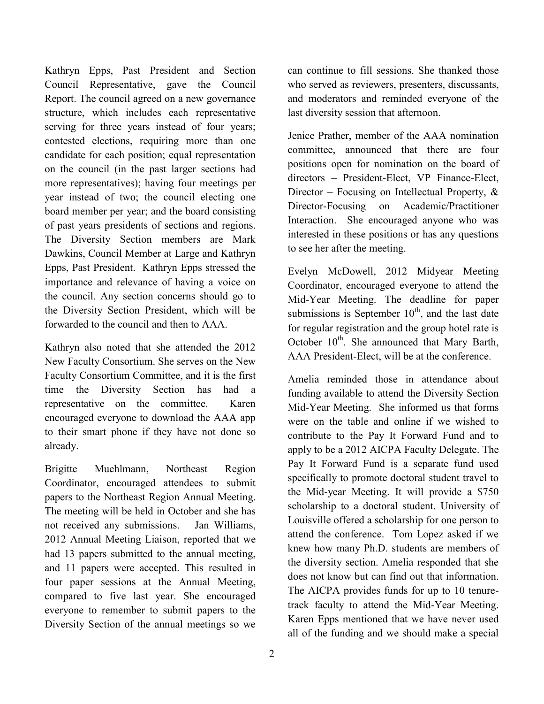Kathryn Epps, Past President and Section Council Representative, gave the Council Report. The council agreed on a new governance structure, which includes each representative serving for three years instead of four years; contested elections, requiring more than one candidate for each position; equal representation on the council (in the past larger sections had more representatives); having four meetings per year instead of two; the council electing one board member per year; and the board consisting of past years presidents of sections and regions. The Diversity Section members are Mark Dawkins, Council Member at Large and Kathryn Epps, Past President. Kathryn Epps stressed the importance and relevance of having a voice on the council. Any section concerns should go to the Diversity Section President, which will be forwarded to the council and then to AAA.

Kathryn also noted that she attended the 2012 New Faculty Consortium. She serves on the New Faculty Consortium Committee, and it is the first time the Diversity Section has had a representative on the committee. Karen encouraged everyone to download the AAA app to their smart phone if they have not done so already.

Brigitte Muehlmann, Northeast Region Coordinator, encouraged attendees to submit papers to the Northeast Region Annual Meeting. The meeting will be held in October and she has not received any submissions. Jan Williams, 2012 Annual Meeting Liaison, reported that we had 13 papers submitted to the annual meeting, and 11 papers were accepted. This resulted in four paper sessions at the Annual Meeting, compared to five last year. She encouraged everyone to remember to submit papers to the Diversity Section of the annual meetings so we

can continue to fill sessions. She thanked those who served as reviewers, presenters, discussants, and moderators and reminded everyone of the last diversity session that afternoon.

Jenice Prather, member of the AAA nomination committee, announced that there are four positions open for nomination on the board of directors – President-Elect, VP Finance-Elect, Director – Focusing on Intellectual Property, & Director-Focusing on Academic/Practitioner Interaction. She encouraged anyone who was interested in these positions or has any questions to see her after the meeting.

Evelyn McDowell, 2012 Midyear Meeting Coordinator, encouraged everyone to attend the Mid-Year Meeting. The deadline for paper submissions is September  $10<sup>th</sup>$ , and the last date for regular registration and the group hotel rate is October  $10^{th}$ . She announced that Mary Barth, AAA President-Elect, will be at the conference.

Amelia reminded those in attendance about funding available to attend the Diversity Section Mid-Year Meeting. She informed us that forms were on the table and online if we wished to contribute to the Pay It Forward Fund and to apply to be a 2012 AICPA Faculty Delegate. The Pay It Forward Fund is a separate fund used specifically to promote doctoral student travel to the Mid-year Meeting. It will provide a \$750 scholarship to a doctoral student. University of Louisville offered a scholarship for one person to attend the conference. Tom Lopez asked if we knew how many Ph.D. students are members of the diversity section. Amelia responded that she does not know but can find out that information. The AICPA provides funds for up to 10 tenuretrack faculty to attend the Mid-Year Meeting. Karen Epps mentioned that we have never used all of the funding and we should make a special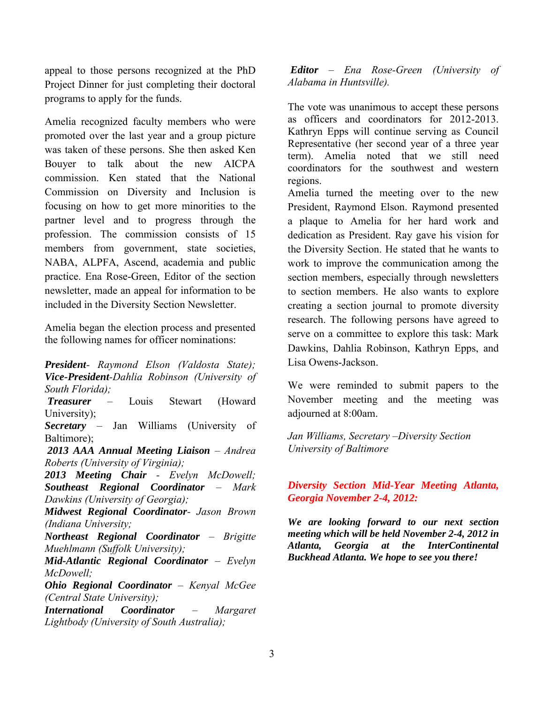appeal to those persons recognized at the PhD Project Dinner for just completing their doctoral programs to apply for the funds.

Amelia recognized faculty members who were promoted over the last year and a group picture was taken of these persons. She then asked Ken Bouyer to talk about the new AICPA commission. Ken stated that the National Commission on Diversity and Inclusion is focusing on how to get more minorities to the partner level and to progress through the profession. The commission consists of 15 members from government, state societies, NABA, ALPFA, Ascend, academia and public practice. Ena Rose-Green, Editor of the section newsletter, made an appeal for information to be included in the Diversity Section Newsletter.

Amelia began the election process and presented the following names for officer nominations:

*President- Raymond Elson (Valdosta State); Vice-President-Dahlia Robinson (University of South Florida); Treasurer* – Louis Stewart (Howard University); *Secretary* – Jan Williams (University of Baltimore); *2013 AAA Annual Meeting Liaison – Andrea Roberts (University of Virginia); 2013 Meeting Chair - Evelyn McDowell; Southeast Regional Coordinator – Mark Dawkins (University of Georgia); Midwest Regional Coordinator- Jason Brown (Indiana University; Northeast Regional Coordinator – Brigitte Muehlmann (Suffolk University); Mid-Atlantic Regional Coordinator – Evelyn McDowell; Ohio Regional Coordinator – Kenyal McGee (Central State University); International Coordinator – Margaret Lightbody (University of South Australia);* 

*Editor – Ena Rose-Green (University of Alabama in Huntsville).* 

The vote was unanimous to accept these persons as officers and coordinators for 2012-2013. Kathryn Epps will continue serving as Council Representative (her second year of a three year term). Amelia noted that we still need coordinators for the southwest and western regions.

Amelia turned the meeting over to the new President, Raymond Elson. Raymond presented a plaque to Amelia for her hard work and dedication as President. Ray gave his vision for the Diversity Section. He stated that he wants to work to improve the communication among the section members, especially through newsletters to section members. He also wants to explore creating a section journal to promote diversity research. The following persons have agreed to serve on a committee to explore this task: Mark Dawkins, Dahlia Robinson, Kathryn Epps, and Lisa Owens-Jackson.

We were reminded to submit papers to the November meeting and the meeting was adjourned at 8:00am.

*Jan Williams, Secretary –Diversity Section University of Baltimore* 

### *Diversity Section Mid-Year Meeting Atlanta, Georgia November 2-4, 2012:*

*We are looking forward to our next section meeting which will be held November 2-4, 2012 in Atlanta, Georgia at the InterContinental Buckhead Atlanta. We hope to see you there!*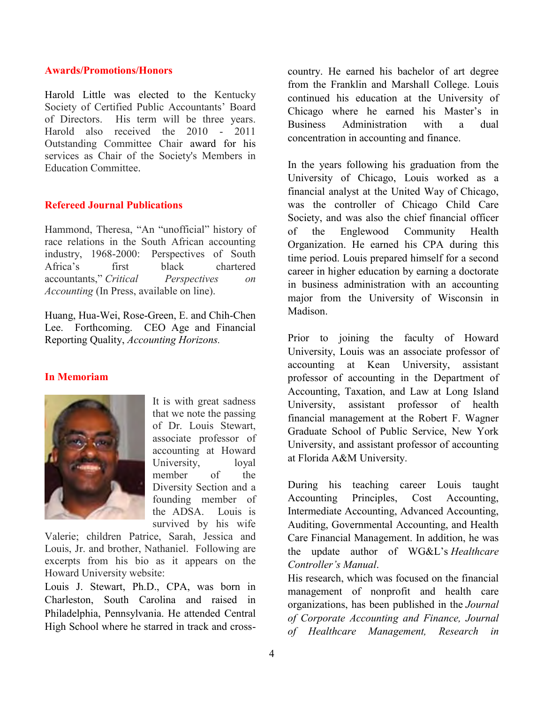#### **Awards/Promotions/Honors**

Harold Little was elected to the Kentucky Society of Certified Public Accountants' Board of Directors. His term will be three years. Harold also received the 2010 - 2011 Outstanding Committee Chair award for his services as Chair of the Society's Members in Education Committee.

# **Refereed Journal Publications**

Hammond, Theresa, "An "unofficial" history of race relations in the South African accounting industry, 1968-2000: Perspectives of South Africa's first black chartered accountants," *Critical Perspectives on Accounting* (In Press, available on line).

Huang, Hua-Wei, Rose-Green, E. and Chih-Chen Lee. Forthcoming. CEO Age and Financial Reporting Quality, *Accounting Horizons.* 

# **In Memoriam**



It is with great sadness that we note the passing of Dr. Louis Stewart, associate professor of accounting at Howard University, loyal member of the Diversity Section and a founding member of the ADSA. Louis is survived by his wife

Valerie; children Patrice, Sarah, Jessica and Louis, Jr. and brother, Nathaniel. Following are excerpts from his bio as it appears on the Howard University website:

Louis J. Stewart, Ph.D., CPA, was born in Charleston, South Carolina and raised in Philadelphia, Pennsylvania. He attended Central High School where he starred in track and crosscountry. He earned his bachelor of art degree from the Franklin and Marshall College. Louis continued his education at the University of Chicago where he earned his Master's in Business Administration with a dual concentration in accounting and finance.

In the years following his graduation from the University of Chicago, Louis worked as a financial analyst at the United Way of Chicago, was the controller of Chicago Child Care Society, and was also the chief financial officer of the Englewood Community Health Organization. He earned his CPA during this time period. Louis prepared himself for a second career in higher education by earning a doctorate in business administration with an accounting major from the University of Wisconsin in Madison.

Prior to joining the faculty of Howard University, Louis was an associate professor of accounting at Kean University, assistant professor of accounting in the Department of Accounting, Taxation, and Law at Long Island University, assistant professor of health financial management at the Robert F. Wagner Graduate School of Public Service, New York University, and assistant professor of accounting at Florida A&M University.

During his teaching career Louis taught Accounting Principles, Cost Accounting, Intermediate Accounting, Advanced Accounting, Auditing, Governmental Accounting, and Health Care Financial Management. In addition, he was the update author of WG&L's *Healthcare Controller's Manual*.

His research, which was focused on the financial management of nonprofit and health care organizations, has been published in the *Journal of Corporate Accounting and Finance, Journal of Healthcare Management, Research in*